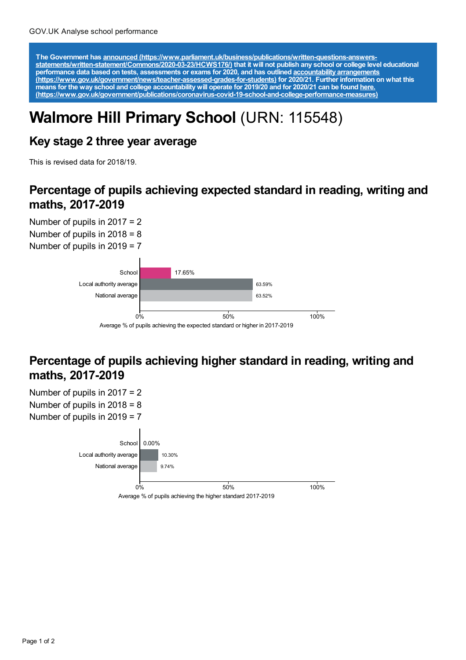The Government has announced [\(https://www.parliament.uk/business/publications/written-questions-answers-](https://www.parliament.uk/business/publications/written-questions-answers-statements/written-statement/Commons/2020-03-23/HCWS176/)<br>statements/written-statement/Commons/2020-03-23/HCWS176/) that it will not publish any school or college level educat **performance data based on tests, assessments or exams for 2020, and has outlined accountability arrangements [\(https://www.gov.uk/government/news/teacher-assessed-grades-for-students\)](https://www.gov.uk/government/news/teacher-assessed-grades-for-students) for 2020/21. Further information on what this** means for the way school and college accountability will operate for 2019/20 and for 2020/21 can be found <u>here.</u> **[\(https://www.gov.uk/government/publications/coronavirus-covid-19-school-and-college-performance-measures\)](https://www.gov.uk/government/publications/coronavirus-covid-19-school-and-college-performance-measures)**

# **Walmore Hill Primary School** (URN: 115548)

### **Key stage 2 three year average**

This is revised data for 2018/19.

#### **Percentage of pupils achieving expected standard in reading, writing and maths, 2017-2019**

Number of pupils in 2017 = 2 Number of pupils in 2018 = 8 Number of pupils in 2019 = 7



### **Percentage of pupils achieving higher standard in reading, writing and maths, 2017-2019**

Number of pupils in 2017 = 2 Number of pupils in 2018 = 8 Number of pupils in 2019 = 7 School 0.00% 10.30% 9.74% Local authority average National average Average % of pupils achieving the higher standard 2017-2019 0% 50% 100%